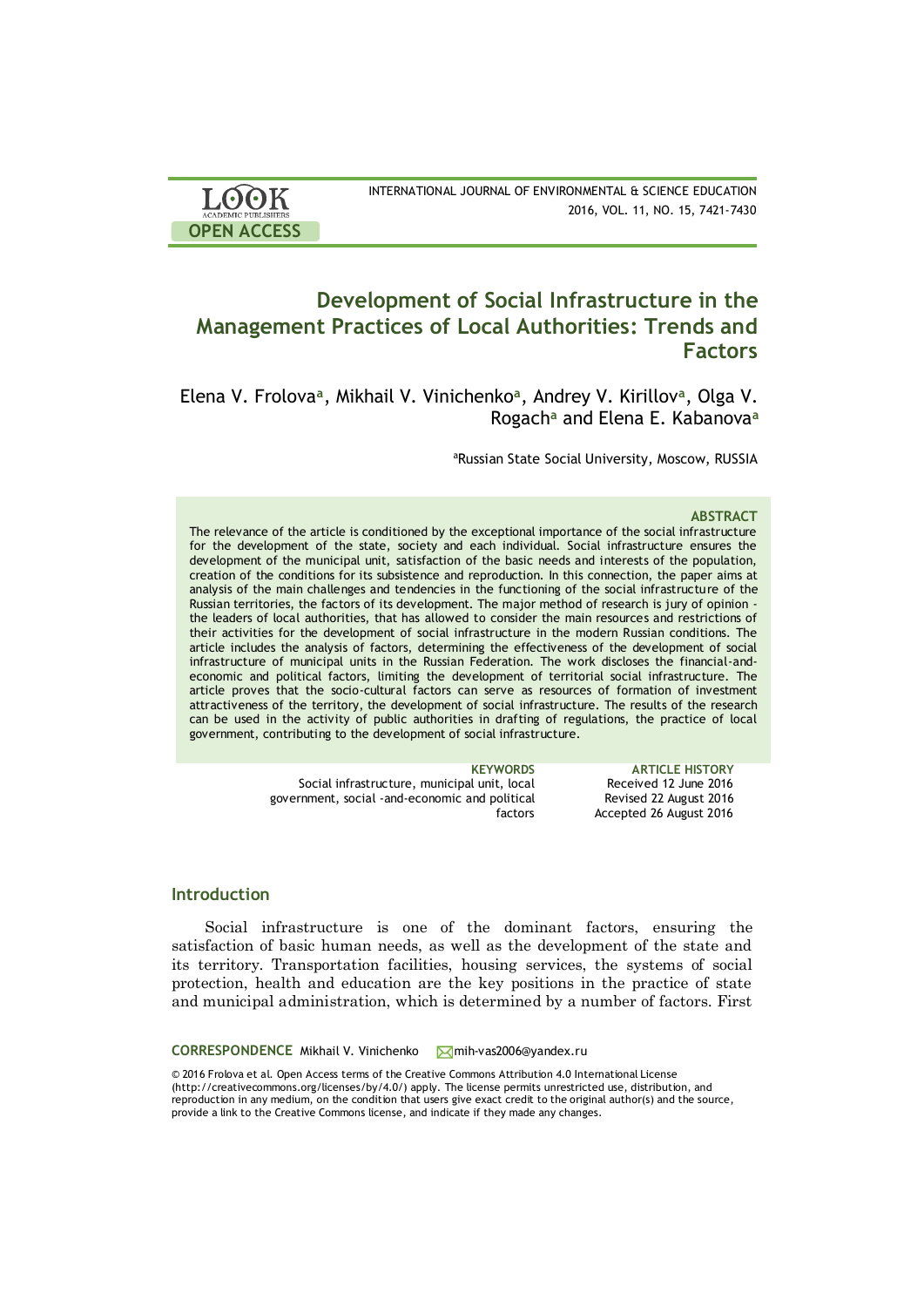| <b>LOOK</b>                | INTERNATIONAL JOURNAL OF ENVIRONMENTAL & SCIENCE EDUCATION |
|----------------------------|------------------------------------------------------------|
| <b>ACADEMIC PUBLISHERS</b> | 2016, VOL. 11, NO. 15, 7421-7430                           |
| <b>OPEN ACCESS</b>         |                                                            |

# **Development of Social Infrastructure in the Management Practices of Local Authorities: Trends and Factors**

Elena V. Frolova**<sup>a</sup>** , Mikhail V. Vinichenko**<sup>a</sup>** , Andrey V. Kirillov**<sup>a</sup>** , Olga V. Rogach**<sup>a</sup>** and Elena E. Kabanova**<sup>a</sup>**

aRussian State Social University, Moscow, RUSSIA

### **ABSTRACT**

The relevance of the article is conditioned by the exceptional importance of the social infrastructure for the development of the state, society and each individual. Social infrastructure ensures the development of the municipal unit, satisfaction of the basic needs and interests of the population, creation of the conditions for its subsistence and reproduction. In this connection, the paper aims at analysis of the main challenges and tendencies in the functioning of the social infrastructure of the Russian territories, the factors of its development. The major method of research is jury of opinion the leaders of local authorities, that has allowed to consider the main resources and restrictions of their activities for the development of social infrastructure in the modern Russian conditions. The article includes the analysis of factors, determining the effectiveness of the development of social infrastructure of municipal units in the Russian Federation. The work discloses the financial-andeconomic and political factors, limiting the development of territorial social infrastructure. The article proves that the socio-cultural factors can serve as resources of formation of investment attractiveness of the territory, the development of social infrastructure. The results of the research can be used in the activity of public authorities in drafting of regulations, the practice of local government, contributing to the development of social infrastructure.

|              | <b>KEYWORDS</b>                                |
|--------------|------------------------------------------------|
| Rece         | Social infrastructure, municipal unit, local   |
| <b>Revis</b> | government, social -and-economic and political |
| Accept       | factors                                        |

### **ARTICLE HISTORY** Pived 12 June 2016 Revised 22 August 2016 ted 26 August 2016

# **Introduction**

Social infrastructure is one of the dominant factors, ensuring the satisfaction of basic human needs, as well as the development of the state and its territory. Transportation facilities, housing services, the systems of social protection, health and education are the key positions in the practice of state and municipal administration, which is determined by a number of factors. First

### CORRESPONDENCE Mikhail V. Vinichenko Mmih-vas2006@yandex.ru

© 2016 Frolova et al. Open Access terms of the Creative Commons Attribution 4.0 International License (http://creativecommons.org/licenses/by/4.0/) apply. The license permits unrestricted use, distribution, and reproduction in any medium, on the condition that users give exact credit to the original author(s) and the source, provide a link to the Creative Commons license, and indicate if they made any changes.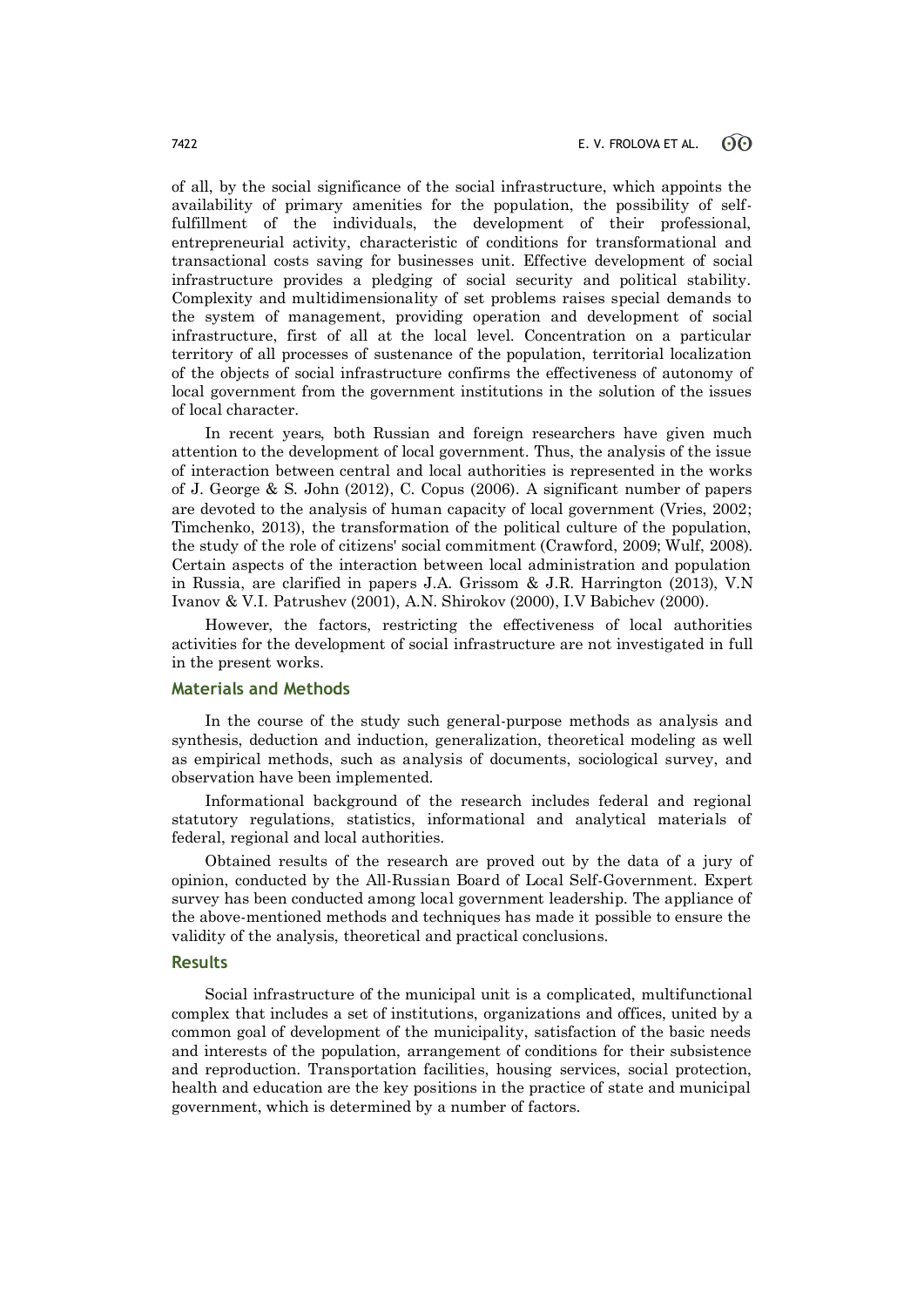of all, by the social significance of the social infrastructure, which appoints the availability of primary amenities for the population, the possibility of selffulfillment of the individuals, the development of their professional, entrepreneurial activity, characteristic of conditions for transformational and transactional costs saving for businesses unit. Effective development of social infrastructure provides a pledging of social security and political stability. Complexity and multidimensionality of set problems raises special demands to the system of management, providing operation and development of social infrastructure, first of all at the local level. Concentration on a particular territory of all processes of sustenance of the population, territorial localization of the objects of social infrastructure confirms the effectiveness of autonomy of local government from the government institutions in the solution of the issues of local character.

In recent years, both Russian and foreign researchers have given much attention to the development of local government. Thus, the analysis of the issue of interaction between central and local authorities is represented in the works of J. George & S. John (2012), C. Copus (2006). A significant number of papers are devoted to the analysis of human capacity of local government (Vries, 2002; Timchenko, 2013), the transformation of the political culture of the population, the study of the role of citizens' social commitment (Crawford, 2009; Wulf, 2008). Certain aspects of the interaction between local administration and population in Russia, are clarified in papers J.A. Grissom & J.R. Harrington (2013), V.N Ivanov & V.I. Patrushev (2001), A.N. Shirokov (2000), I.V Babichev (2000).

However, the factors, restricting the effectiveness of local authorities activities for the development of social infrastructure are not investigated in full in the present works.

# **Materials and Methods**

In the course of the study such general-purpose methods as analysis and synthesis, deduction and induction, generalization, theoretical modeling as well as empirical methods, such as analysis of documents, sociological survey, and observation have been implemented.

Informational background of the research includes federal and regional statutory regulations, statistics, informational and analytical materials of federal, regional and local authorities.

Obtained results of the research are proved out by the data of a jury of opinion, conducted by the All-Russian Board of Local Self-Government. Expert survey has been conducted among local government leadership. The appliance of the above-mentioned methods and techniques has made it possible to ensure the validity of the analysis, theoretical and practical conclusions.

### **Results**

Social infrastructure of the municipal unit is a complicated, multifunctional complex that includes a set of institutions, organizations and offices, united by a common goal of development of the municipality, satisfaction of the basic needs and interests of the population, arrangement of conditions for their subsistence and reproduction. Transportation facilities, housing services, social protection, health and education are the key positions in the practice of state and municipal government, which is determined by a number of factors.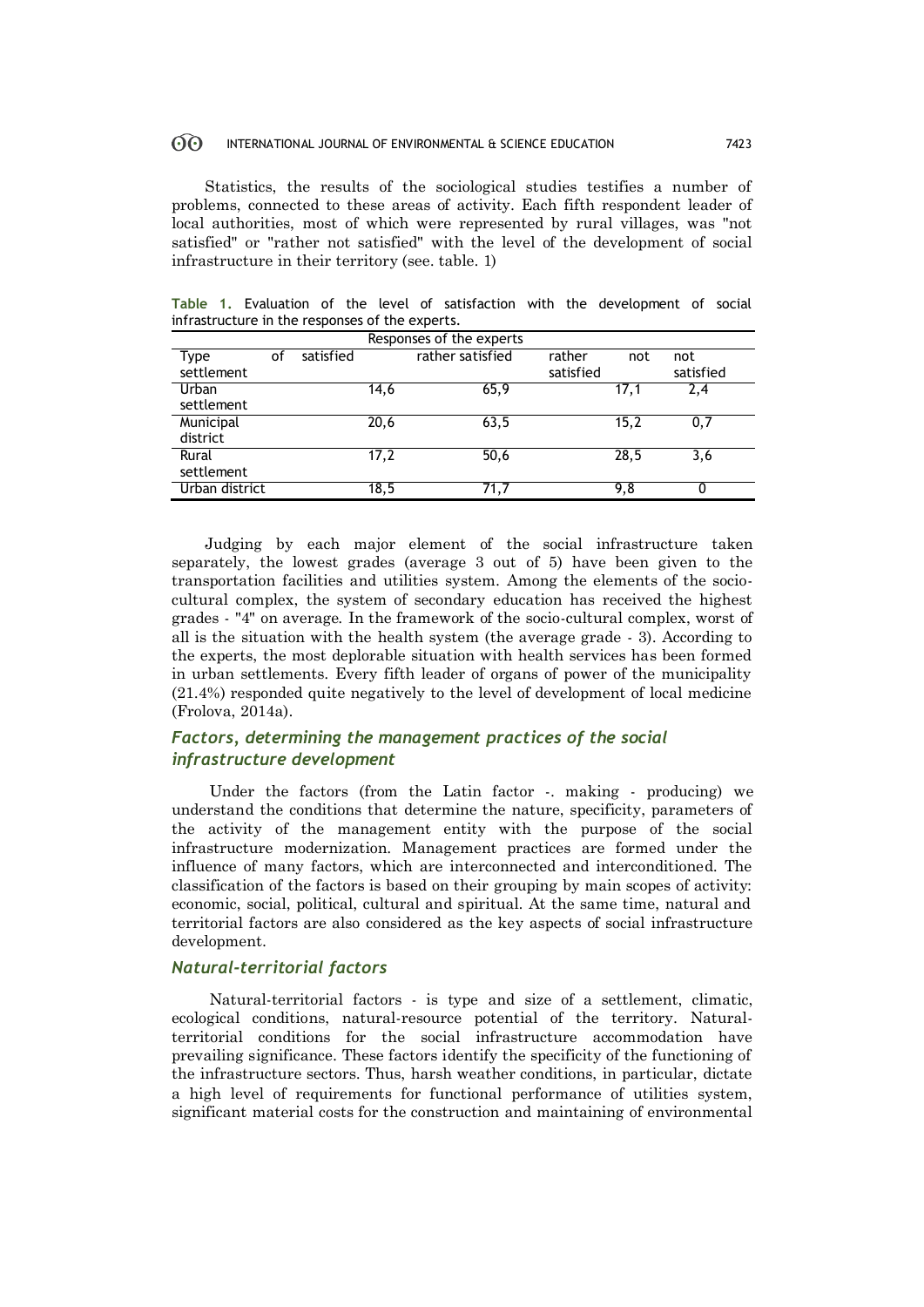#### $\odot$ INTERNATIONAL JOURNAL OF ENVIRONMENTAL & SCIENCE EDUCATION 7423

Statistics, the results of the sociological studies testifies a number of problems, connected to these areas of activity. Each fifth respondent leader of local authorities, most of which were represented by rural villages, was "not satisfied" or "rather not satisfied" with the level of the development of social infrastructure in their territory (see. table. 1)

**Table 1.** Evaluation of the level of satisfaction with the development of social infrastructure in the responses of the experts.

| Responses of the experts |                |      |                  |           |      |           |  |  |  |
|--------------------------|----------------|------|------------------|-----------|------|-----------|--|--|--|
| οf                       | satisfied      |      | rather satisfied | rather    | not  | not       |  |  |  |
|                          |                |      |                  | satisfied |      | satisfied |  |  |  |
|                          |                | 14,6 | 65,9             |           | 17.1 | 2,4       |  |  |  |
|                          |                |      |                  |           |      |           |  |  |  |
|                          |                | 20,6 | 63,5             |           | 15,2 | 0,7       |  |  |  |
|                          |                |      |                  |           |      |           |  |  |  |
|                          |                | 17,2 | 50,6             |           | 28,5 | 3,6       |  |  |  |
|                          |                |      |                  |           |      |           |  |  |  |
|                          |                | 18,5 | 71,7             |           | 9,8  | 0         |  |  |  |
|                          | Urban district |      |                  |           |      |           |  |  |  |

Judging by each major element of the social infrastructure taken separately, the lowest grades (average 3 out of 5) have been given to the transportation facilities and utilities system. Among the elements of the sociocultural complex, the system of secondary education has received the highest grades - "4" on average. In the framework of the socio-cultural complex, worst of all is the situation with the health system (the average grade - 3). According to the experts, the most deplorable situation with health services has been formed in urban settlements. Every fifth leader of organs of power of the municipality (21.4%) responded quite negatively to the level of development of local medicine (Frolova, 2014a).

# *Factors, determining the management practices of the social infrastructure development*

Under the factors (from the Latin factor -. making - producing) we understand the conditions that determine the nature, specificity, parameters of the activity of the management entity with the purpose of the social infrastructure modernization. Management practices are formed under the influence of many factors, which are interconnected and interconditioned. The classification of the factors is based on their grouping by main scopes of activity: economic, social, political, cultural and spiritual. At the same time, natural and territorial factors are also considered as the key aspects of social infrastructure development.

# *Natural-territorial factors*

Natural-territorial factors - is type and size of a settlement, climatic, ecological conditions, natural-resource potential of the territory. Naturalterritorial conditions for the social infrastructure accommodation have prevailing significance. These factors identify the specificity of the functioning of the infrastructure sectors. Thus, harsh weather conditions, in particular, dictate a high level of requirements for functional performance of utilities system, significant material costs for the construction and maintaining of environmental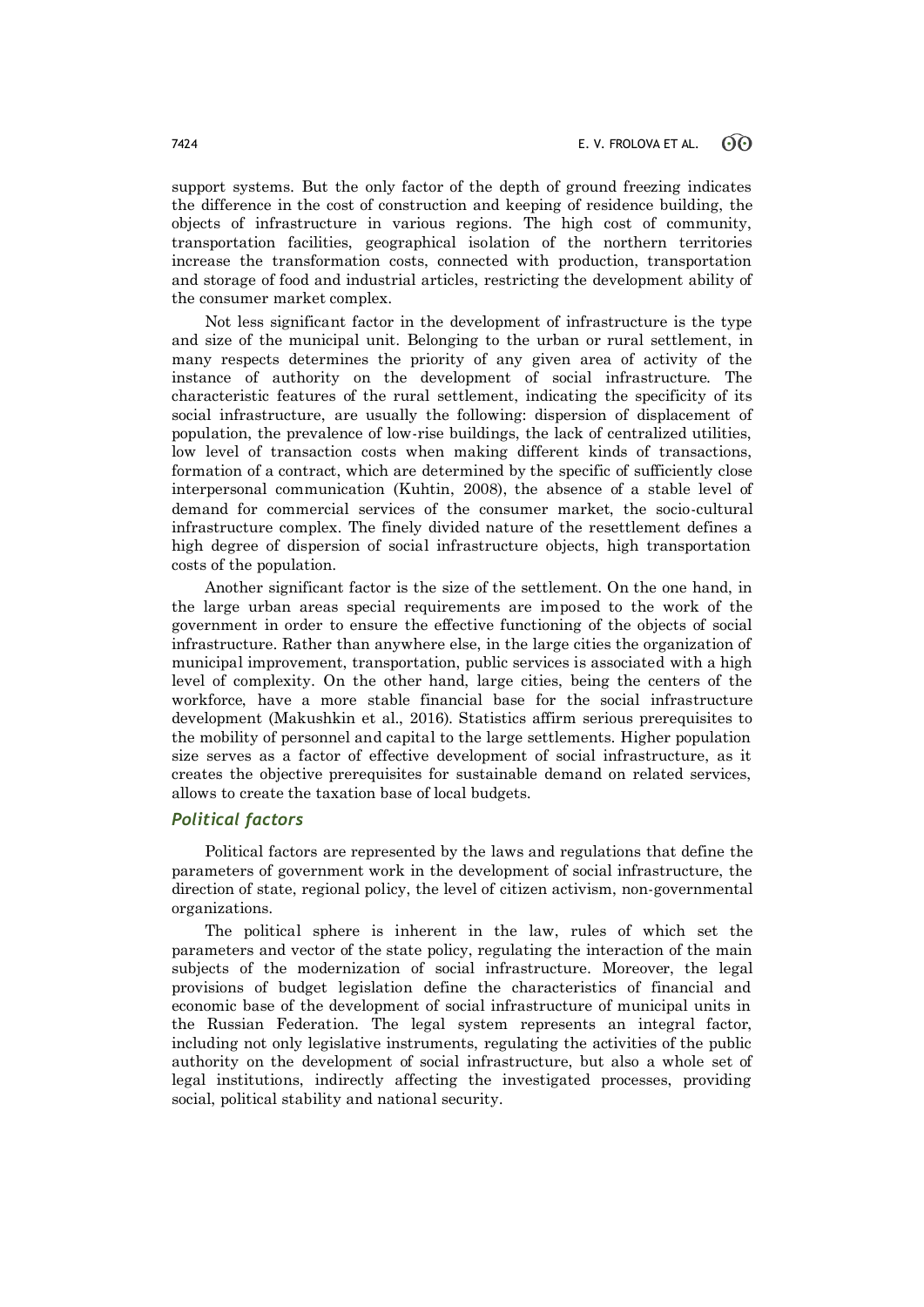support systems. But the only factor of the depth of ground freezing indicates the difference in the cost of construction and keeping of residence building, the objects of infrastructure in various regions. The high cost of community, transportation facilities, geographical isolation of the northern territories increase the transformation costs, connected with production, transportation and storage of food and industrial articles, restricting the development ability of the consumer market complex.

Not less significant factor in the development of infrastructure is the type and size of the municipal unit. Belonging to the urban or rural settlement, in many respects determines the priority of any given area of activity of the instance of authority on the development of social infrastructure. The characteristic features of the rural settlement, indicating the specificity of its social infrastructure, are usually the following: dispersion of displacement of population, the prevalence of low-rise buildings, the lack of centralized utilities, low level of transaction costs when making different kinds of transactions, formation of a contract, which are determined by the specific of sufficiently close interpersonal communication (Kuhtin, 2008), the absence of a stable level of demand for commercial services of the consumer market, the socio-cultural infrastructure complex. The finely divided nature of the resettlement defines a high degree of dispersion of social infrastructure objects, high transportation costs of the population.

Another significant factor is the size of the settlement. On the one hand, in the large urban areas special requirements are imposed to the work of the government in order to ensure the effective functioning of the objects of social infrastructure. Rather than anywhere else, in the large cities the organization of municipal improvement, transportation, public services is associated with a high level of complexity. On the other hand, large cities, being the centers of the workforce, have a more stable financial base for the social infrastructure development (Makushkin et al., 2016). Statistics affirm serious prerequisites to the mobility of personnel and capital to the large settlements. Higher population size serves as a factor of effective development of social infrastructure, as it creates the objective prerequisites for sustainable demand on related services, allows to create the taxation base of local budgets.

### *Political factors*

Political factors are represented by the laws and regulations that define the parameters of government work in the development of social infrastructure, the direction of state, regional policy, the level of citizen activism, non-governmental organizations.

The political sphere is inherent in the law, rules of which set the parameters and vector of the state policy, regulating the interaction of the main subjects of the modernization of social infrastructure. Moreover, the legal provisions of budget legislation define the characteristics of financial and economic base of the development of social infrastructure of municipal units in the Russian Federation. The legal system represents an integral factor, including not only legislative instruments, regulating the activities of the public authority on the development of social infrastructure, but also a whole set of legal institutions, indirectly affecting the investigated processes, providing social, political stability and national security.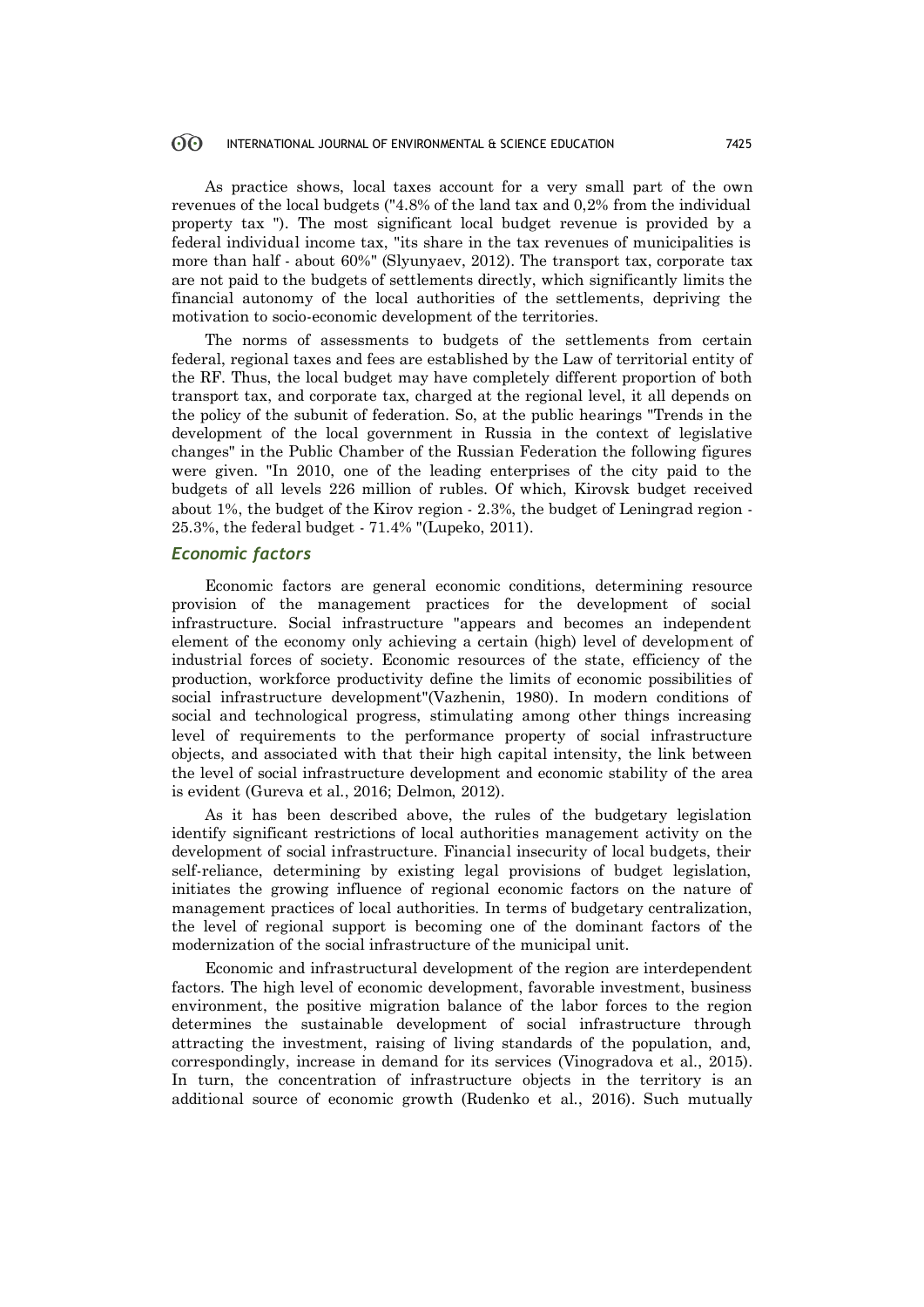#### 60 INTERNATIONAL JOURNAL OF ENVIRONMENTAL & SCIENCE EDUCATION 7425

As practice shows, local taxes account for a very small part of the own revenues of the local budgets ("4.8% of the land tax and 0,2% from the individual property tax "). The most significant local budget revenue is provided by a federal individual income tax, "its share in the tax revenues of municipalities is more than half - about 60%" (Slyunyaev, 2012). The transport tax, corporate tax are not paid to the budgets of settlements directly, which significantly limits the financial autonomy of the local authorities of the settlements, depriving the motivation to socio-economic development of the territories.

The norms of assessments to budgets of the settlements from certain federal, regional taxes and fees are established by the Law of territorial entity of the RF. Thus, the local budget may have completely different proportion of both transport tax, and corporate tax, charged at the regional level, it all depends on the policy of the subunit of federation. So, at the public hearings "Trends in the development of the local government in Russia in the context of legislative changes" in the Public Chamber of the Russian Federation the following figures were given. "In 2010, one of the leading enterprises of the city paid to the budgets of all levels 226 million of rubles. Of which, Kirovsk budget received about 1%, the budget of the Kirov region - 2.3%, the budget of Leningrad region - 25.3%, the federal budget - 71.4% "(Lupeko, 2011).

### *Economic factors*

Economic factors are general economic conditions, determining resource provision of the management practices for the development of social infrastructure. Social infrastructure "appears and becomes an independent element of the economy only achieving a certain (high) level of development of industrial forces of society. Economic resources of the state, efficiency of the production, workforce productivity define the limits of economic possibilities of social infrastructure development"(Vazhenin, 1980). In modern conditions of social and technological progress, stimulating among other things increasing level of requirements to the performance property of social infrastructure objects, and associated with that their high capital intensity, the link between the level of social infrastructure development and economic stability of the area is evident (Gureva et al., 2016; Delmon, 2012).

As it has been described above, the rules of the budgetary legislation identify significant restrictions of local authorities management activity on the development of social infrastructure. Financial insecurity of local budgets, their self-reliance, determining by existing legal provisions of budget legislation, initiates the growing influence of regional economic factors on the nature of management practices of local authorities. In terms of budgetary centralization, the level of regional support is becoming one of the dominant factors of the modernization of the social infrastructure of the municipal unit.

Economic and infrastructural development of the region are interdependent factors. The high level of economic development, favorable investment, business environment, the positive migration balance of the labor forces to the region determines the sustainable development of social infrastructure through attracting the investment, raising of living standards of the population, and, correspondingly, increase in demand for its services (Vinogradova et al., 2015). In turn, the concentration of infrastructure objects in the territory is an additional source of economic growth (Rudenko et al., 2016). Such mutually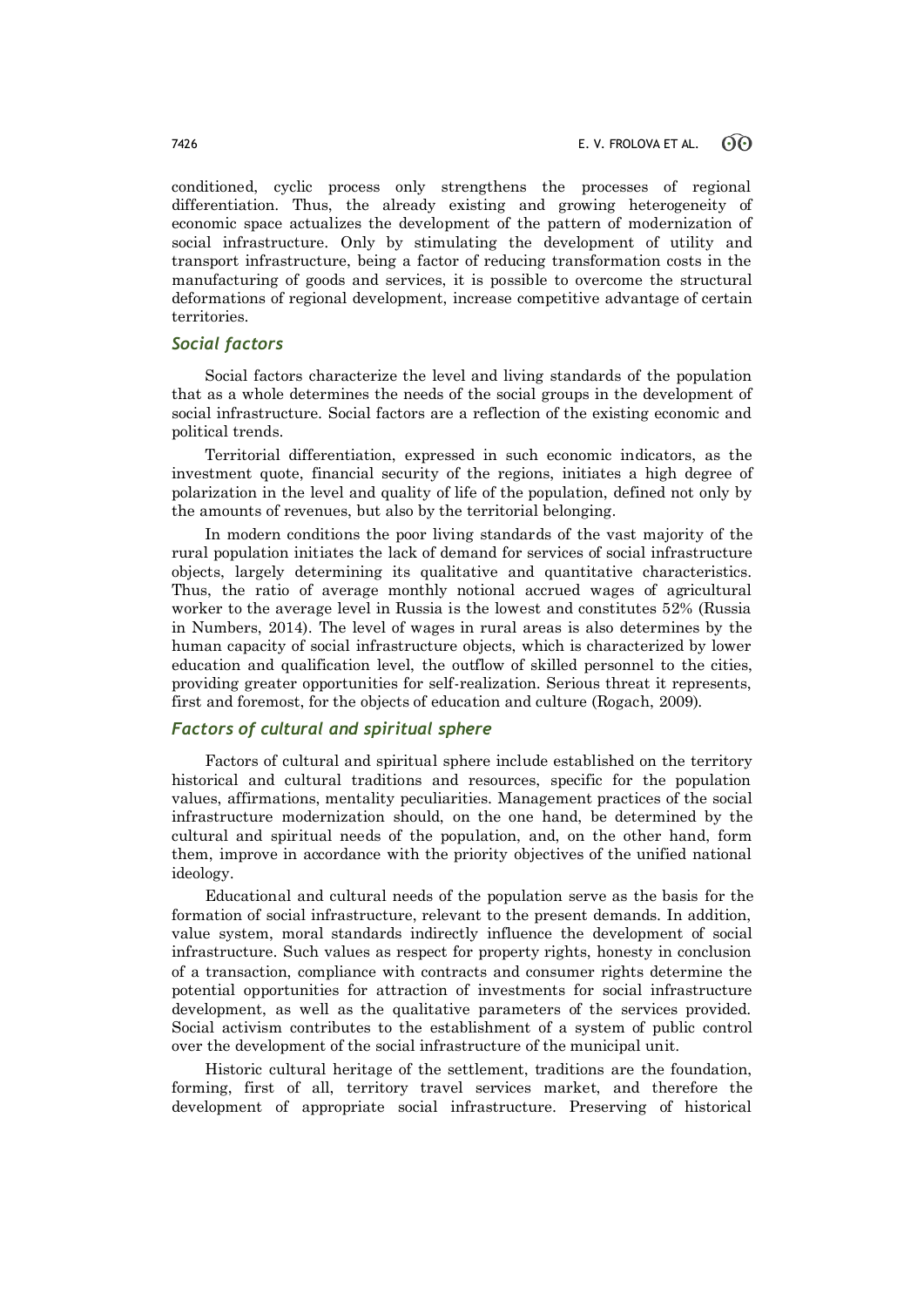conditioned, cyclic process only strengthens the processes of regional differentiation. Thus, the already existing and growing heterogeneity of economic space actualizes the development of the pattern of modernization of social infrastructure. Only by stimulating the development of utility and transport infrastructure, being a factor of reducing transformation costs in the manufacturing of goods and services, it is possible to overcome the structural deformations of regional development, increase competitive advantage of certain territories.

### *Social factors*

Social factors characterize the level and living standards of the population that as a whole determines the needs of the social groups in the development of social infrastructure. Social factors are a reflection of the existing economic and political trends.

Territorial differentiation, expressed in such economic indicators, as the investment quote, financial security of the regions, initiates a high degree of polarization in the level and quality of life of the population, defined not only by the amounts of revenues, but also by the territorial belonging.

In modern conditions the poor living standards of the vast majority of the rural population initiates the lack of demand for services of social infrastructure objects, largely determining its qualitative and quantitative characteristics. Thus, the ratio of average monthly notional accrued wages of agricultural worker to the average level in Russia is the lowest and constitutes 52% (Russia in Numbers, 2014). The level of wages in rural areas is also determines by the human capacity of social infrastructure objects, which is characterized by lower education and qualification level, the outflow of skilled personnel to the cities, providing greater opportunities for self-realization. Serious threat it represents, first and foremost, for the objects of education and culture (Rogach, 2009).

# *Factors of cultural and spiritual sphere*

Factors of cultural and spiritual sphere include established on the territory historical and cultural traditions and resources, specific for the population values, affirmations, mentality peculiarities. Management practices of the social infrastructure modernization should, on the one hand, be determined by the cultural and spiritual needs of the population, and, on the other hand, form them, improve in accordance with the priority objectives of the unified national ideology.

Educational and cultural needs of the population serve as the basis for the formation of social infrastructure, relevant to the present demands. In addition, value system, moral standards indirectly influence the development of social infrastructure. Such values as respect for property rights, honesty in conclusion of a transaction, compliance with contracts and consumer rights determine the potential opportunities for attraction of investments for social infrastructure development, as well as the qualitative parameters of the services provided. Social activism contributes to the establishment of a system of public control over the development of the social infrastructure of the municipal unit.

Historic cultural heritage of the settlement, traditions are the foundation, forming, first of all, territory travel services market, and therefore the development of appropriate social infrastructure. Preserving of historical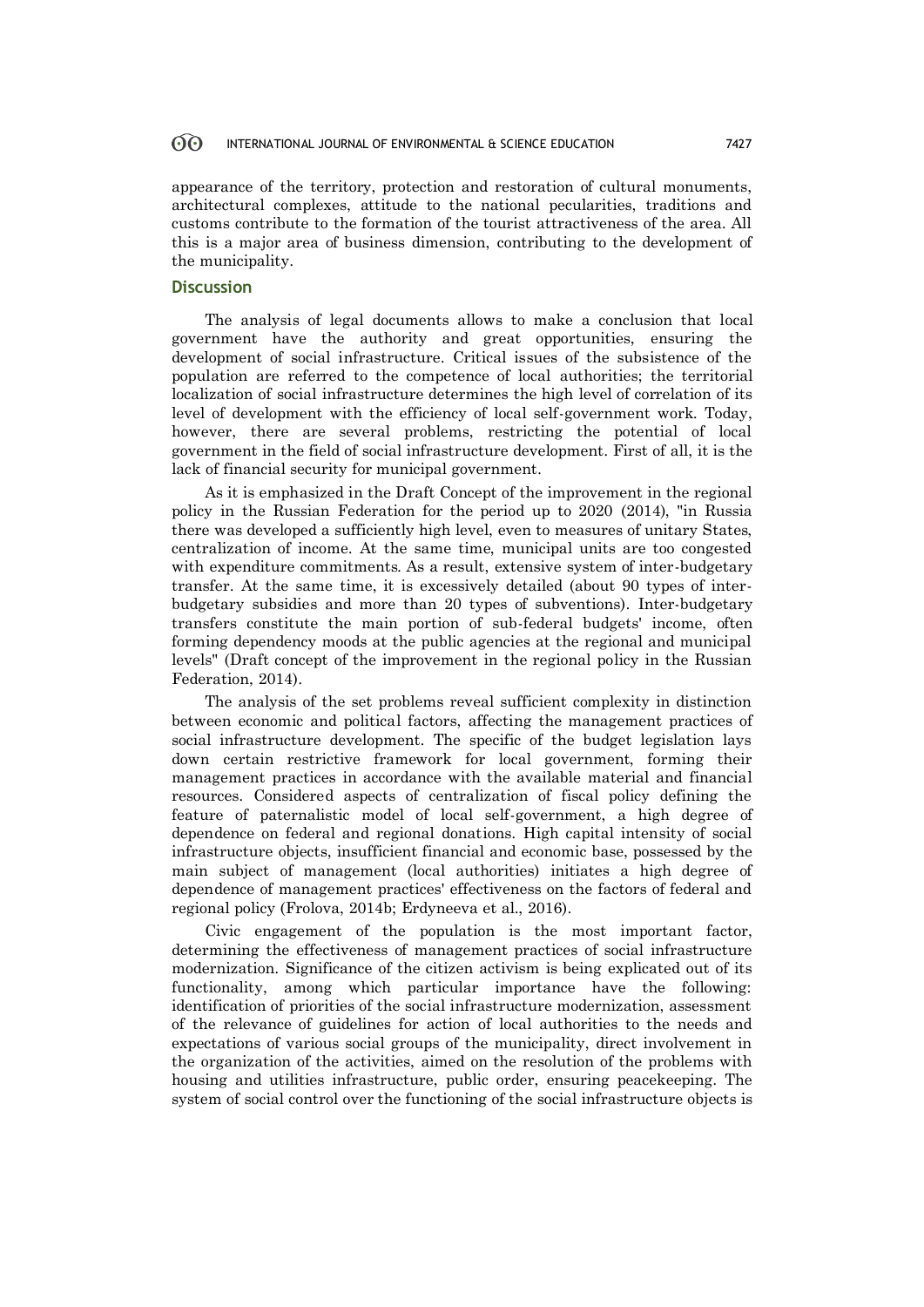#### 60 INTERNATIONAL JOURNAL OF ENVIRONMENTAL & SCIENCE EDUCATION 7427

appearance of the territory, protection and restoration of cultural monuments, architectural complexes, attitude to the national pecularities, traditions and customs contribute to the formation of the tourist attractiveness of the area. All this is a major area of business dimension, contributing to the development of the municipality.

# **Discussion**

The analysis of legal documents allows to make a conclusion that local government have the authority and great opportunities, ensuring the development of social infrastructure. Critical issues of the subsistence of the population are referred to the competence of local authorities; the territorial localization of social infrastructure determines the high level of correlation of its level of development with the efficiency of local self-government work. Today, however, there are several problems, restricting the potential of local government in the field of social infrastructure development. First of all, it is the lack of financial security for municipal government.

As it is emphasized in the Draft Concept of the improvement in the regional policy in the Russian Federation for the period up to 2020 (2014), "in Russia there was developed a sufficiently high level, even to measures of unitary States, centralization of income. At the same time, municipal units are too congested with expenditure commitments. As a result, extensive system of inter-budgetary transfer. At the same time, it is excessively detailed (about 90 types of interbudgetary subsidies and more than 20 types of subventions). Inter-budgetary transfers constitute the main portion of sub-federal budgets' income, often forming dependency moods at the public agencies at the regional and municipal levels" (Draft concept of the improvement in the regional policy in the Russian Federation, 2014).

The analysis of the set problems reveal sufficient complexity in distinction between economic and political factors, affecting the management practices of social infrastructure development. The specific of the budget legislation lays down certain restrictive framework for local government, forming their management practices in accordance with the available material and financial resources. Considered aspects of centralization of fiscal policy defining the feature of paternalistic model of local self-government, a high degree of dependence on federal and regional donations. High capital intensity of social infrastructure objects, insufficient financial and economic base, possessed by the main subject of management (local authorities) initiates a high degree of dependence of management practices' effectiveness on the factors of federal and regional policy (Frolova, 2014b; Erdyneeva et al., 2016).

Civic engagement of the population is the most important factor, determining the effectiveness of management practices of social infrastructure modernization. Significance of the citizen activism is being explicated out of its functionality, among which particular importance have the following: identification of priorities of the social infrastructure modernization, assessment of the relevance of guidelines for action of local authorities to the needs and expectations of various social groups of the municipality, direct involvement in the organization of the activities, aimed on the resolution of the problems with housing and utilities infrastructure, public order, ensuring peacekeeping. The system of social control over the functioning of the social infrastructure objects is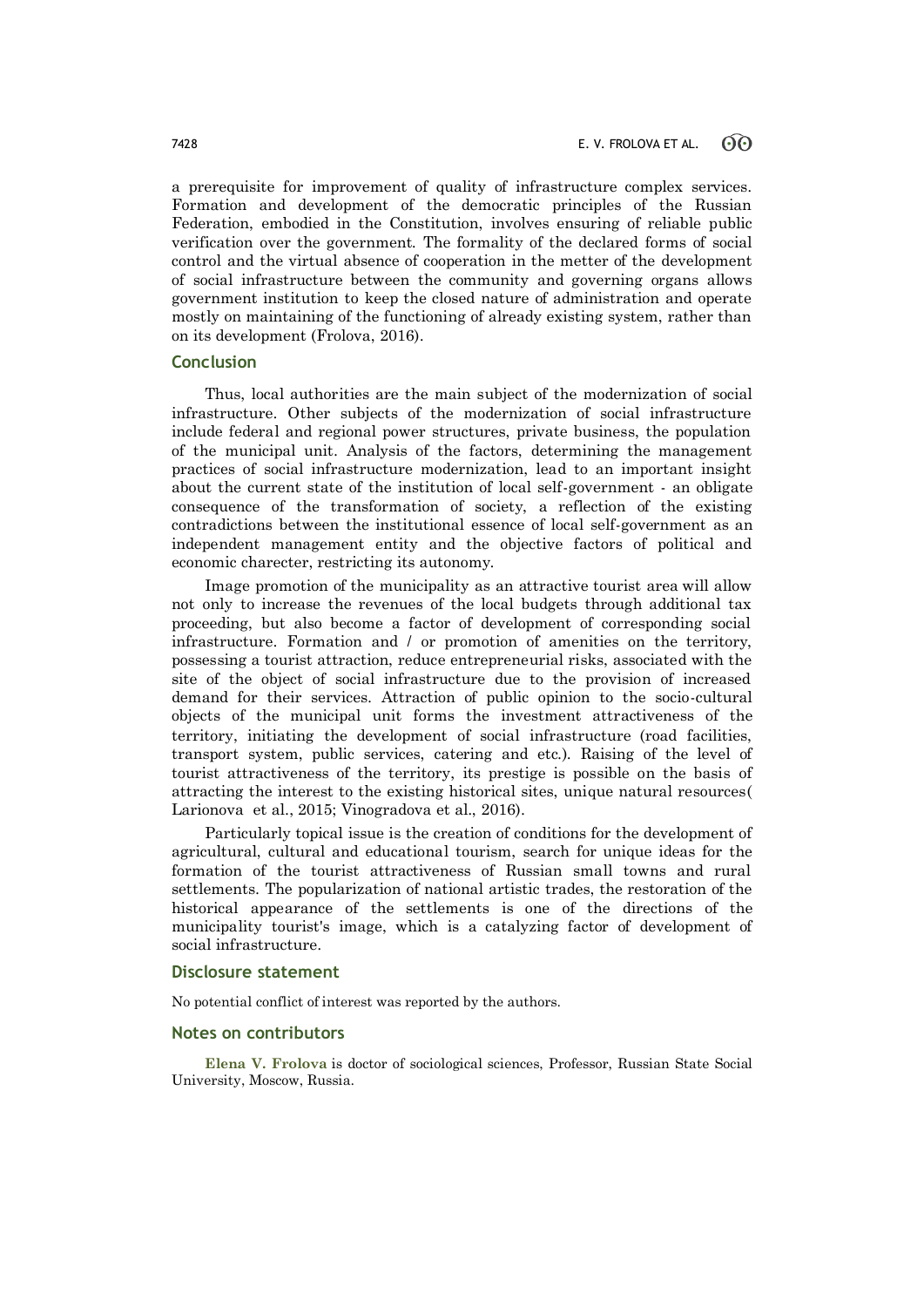a prerequisite for improvement of quality of infrastructure complex services. Formation and development of the democratic principles of the Russian Federation, embodied in the Constitution, involves ensuring of reliable public verification over the government. The formality of the declared forms of social control and the virtual absence of cooperation in the metter of the development of social infrastructure between the community and governing organs allows government institution to keep the closed nature of administration and operate mostly on maintaining of the functioning of already existing system, rather than on its development (Frolova, 2016).

### **Conclusion**

Thus, local authorities are the main subject of the modernization of social infrastructure. Other subjects of the modernization of social infrastructure include federal and regional power structures, private business, the population of the municipal unit. Analysis of the factors, determining the management practices of social infrastructure modernization, lead to an important insight about the current state of the institution of local self-government - an obligate consequence of the transformation of society, a reflection of the existing contradictions between the institutional essence of local self-government as an independent management entity and the objective factors of political and economic charecter, restricting its autonomy.

Image promotion of the municipality as an attractive tourist area will allow not only to increase the revenues of the local budgets through additional tax proceeding, but also become a factor of development of corresponding social infrastructure. Formation and / or promotion of amenities on the territory, possessing a tourist attraction, reduce entrepreneurial risks, associated with the site of the object of social infrastructure due to the provision of increased demand for their services. Attraction of public opinion to the socio-cultural objects of the municipal unit forms the investment attractiveness of the territory, initiating the development of social infrastructure (road facilities, transport system, public services, catering and etc.). Raising of the level of tourist attractiveness of the territory, its prestige is possible on the basis of attracting the interest to the existing historical sites, unique natural resources( Larionova et al., 2015; Vinogradova et al., 2016).

Particularly topical issue is the creation of conditions for the development of agricultural, cultural and educational tourism, search for unique ideas for the formation of the tourist attractiveness of Russian small towns and rural settlements. The popularization of national artistic trades, the restoration of the historical appearance of the settlements is one of the directions of the municipality tourist's image, which is a catalyzing factor of development of social infrastructure.

### **Disclosure statement**

No potential conflict of interest was reported by the authors.

### **Notes on contributors**

**Elena V. Frolova** is doctor of sociological sciences, Professor, Russian State Social University, Moscow, Russia.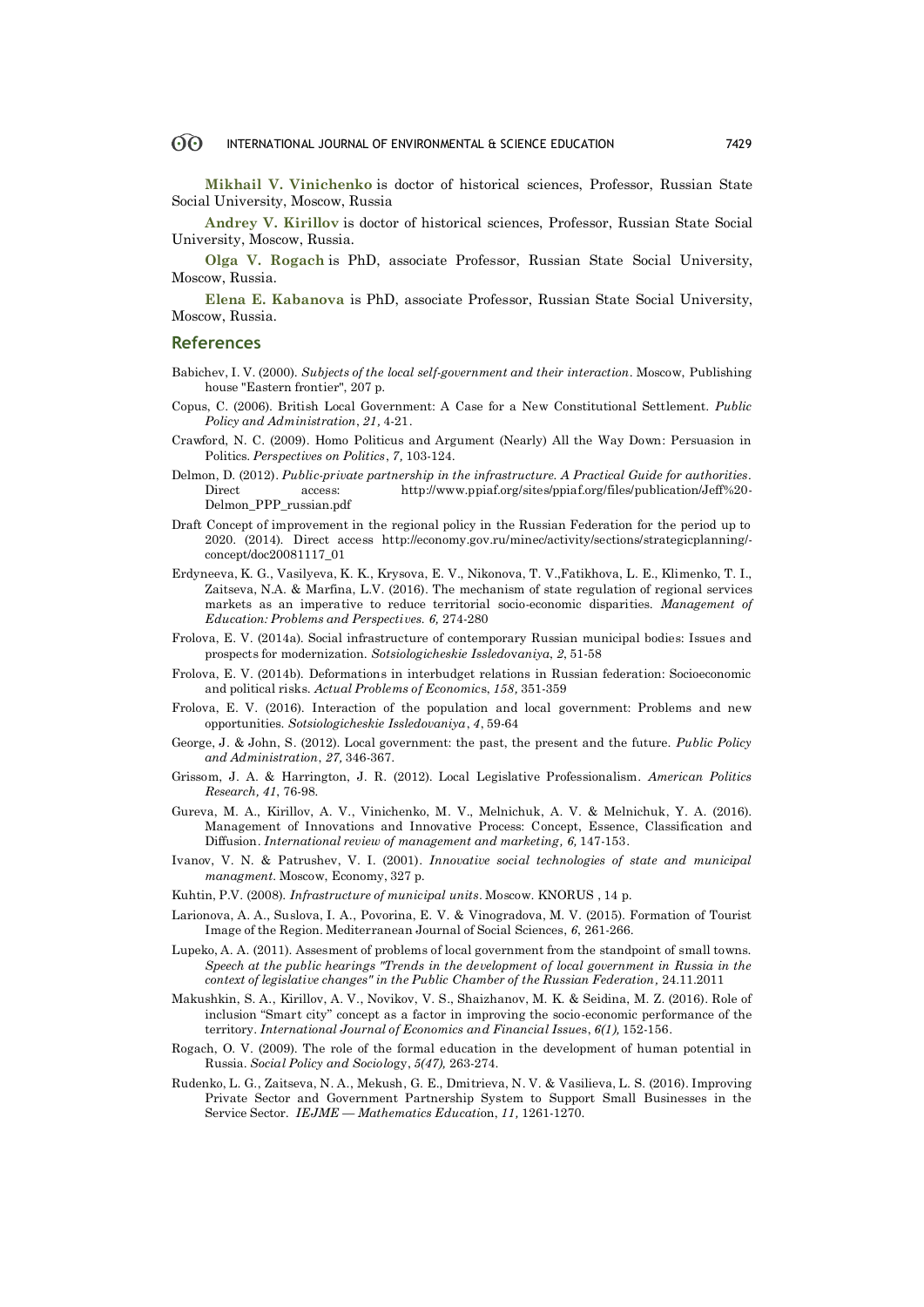**Mikhail V. Vinichenko** is doctor of historical sciences, Professor, Russian State Social University, Moscow, Russia

**Andrey V. Kirillov** is doctor of historical sciences, Professor, Russian State Social University, Moscow, Russia.

**Olga V. Rogach** is PhD, associate Professor, Russian State Social University, Moscow, Russia.

**Elena E. Kabanova** is PhD, associate Professor, Russian State Social University, Moscow, Russia.

### **References**

- Babichev, I. V. (2000). *Subjects of the local self-government and their interaction*. Moscow, Publishing house "Eastern frontier", 207 p.
- Copus, C. (2006). British Local Government: A Case for a New Constitutional Settlement. *Public Policy and Administration*, *21,* 4-21.
- Crawford, N. C. (2009). Homo Politicus and Argument (Nearly) All the Way Down: Persuasion in Politics. *Perspectives on Politics*, *7,* 103-124.
- Delmon, D. (2012). *Public-private partnership in the infrastructure. A Practical Guide for authorities.*  Direct access: http://www.ppiaf.org/sites/ppiaf.org/files/publication/Jeff%20- Delmon\_PPP\_russian.pdf
- Draft Concept of improvement in the regional policy in the Russian Federation for the period up to 2020. (2014). Direct access http://economy.gov.ru/minec/activity/sections/strategicplanning/ concept/doc20081117\_01
- Erdyneeva, K. G., Vasilyeva, K. K., Krysova, E. V., Nikonova, T. V.,Fatikhova, L. E., Klimenko, T. I., Zaitseva, N.A. & Marfina, L.V. (2016). The mechanism of state regulation of regional services markets as an imperative to reduce territorial socio-economic disparities. *Management of Education: Problems and Perspectives. 6,* 274-280
- Frolova, E. V. (2014a). Social infrastructure of contemporary Russian municipal bodies: Issues and prospects for modernization. *Sotsiologicheskie Issledo*v*aniya*, *2*, 51-58
- Frolova, E. V. (2014b). Deformations in interbudget relations in Russian federation: Socioeconomic and political risks. *Actual Problems of Economic*s, *158,* 351-359
- Frolova, E. V. (2016). Interaction of the population and local government: Problems and new opportunities. *Sotsiologicheskie Issledovaniya*, *4*, 59-64
- George, J. & John, S. (2012). Local government: the past, the present and the future. *Public Policy and Administration*, *27,* 346-367.
- Grissom, J. A. & Harrington, J. R. (2012). Local Legislative Professionalism. *American Politics Research, 41*, 76-98*.*
- Gureva, M. A., Kirillov, A. V., Vinichenko, M. V., Melnichuk, A. V. & Melnichuk, Y. A. (2016). Management of Innovations and Innovative Process: Concept, Essence, Classification and Diffusion. *International review of management and marketing, 6,* 147-153.
- Ivanov, V. N. & Patrushev, V. I. (2001). *Innovative social technologies of state and municipal managment.* Moscow, Economy, 327 p.
- Kuhtin, P.V. (2008). *Infrastructure of municipal units*. Moscow. KNORUS , 14 p.
- Larionova, A. A., Suslova, I. A., Povorina, E. V. & Vinogradova, M. V. (2015). Formation of Tourist Image of the Region. Mediterranean Journal of Social Sciences, *6*, 261-266.
- Lupeko, A. A. (2011). Assesment of problems of local government from the standpoint of small towns. *Speech at the public hearings "Trends in the development of local government in Russia in the context of legislative changes" in the Public Chamber of the Russian Federation,* 24.11.2011
- Makushkin, S. A., Kirillov, A. V., Novikov, V. S., Shaizhanov, M. K. & Seidina, M. Z. (2016). Role of inclusion "Smart city" concept as a factor in improving the socio-economic performance of the territory. *International Journal of Economics and Financial Issue*s, *6(1),* 152-156.
- Rogach, O. V. (2009). The role of the formal education in the development of human potential in Russia. *Social Policy and Sociolo*gy, *5(47),* 263-274.
- Rudenko, L. G., Zaitseva, N. A., Mekush, G. E., Dmitrieva, N. V. & Vasilieva, L. S. (2016). Improving Private Sector and Government Partnership System to Support Small Businesses in the Service Sector. *IEJME — Mathematics Educati*on, *11,* 1261-1270.